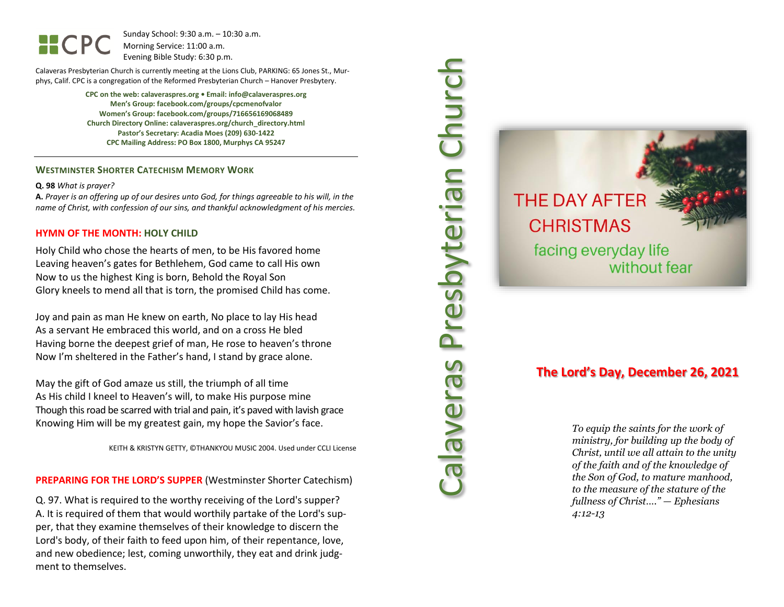Sunday School: 9: 3 0 a.m. – 10:30 a.m. Morning Service: 1 1 :00 a.m. Evening Bible Study: 6: 30 p.m.

Calaveras Presbyterian Church is currently meeting at the Lions Club, PARKING: 65 Jones St., Murphys, Calif. CPC is a congregation of the Reformed Presbyterian Church – Hanover Presbytery.

> **CPC on the web: calaveraspres.org • Email: info@calaveraspres.org Men's Group: facebook.com/groups/cpcmenofvalor Women's Group: facebook.com/groups/716656169068489 Church Directory Online: calaveraspres.org/church \_directory.html Pastor's Secretary: Acadia Moes (209) 630 -1422 CPC Mailing Address: PO Box 1800, Murphys CA 95247**

## **WESTMINSTER SHORTER CATECHISM MEMORY WORK**

#### **Q . 9 8** *What is prayer?*

**A.** *Prayer is an offering up of our desires unto God, for things agreeable to his will, in the name of Christ, with confession of our sins, and thankful acknowledgment of his mercies.*

#### **HYMN OF THE MONTH: HOLY CHILD**

Holy Child who chose the hearts of men, to be His favored home Leaving heaven's gates for Bethlehem, God came to call His own Now to us the highest King is born, Behold the Royal Son Glory kneels to mend all that is torn, the promised Child has come.

Joy and pain as man He knew on earth, No place to lay His head As a servant He embraced this world, and on a cross He bled Having borne the deepest grief of man, He rose to heaven's throne Now I'm sheltered in the Father's hand, I stand by grace alone.

May the gift of God amaze us still, the triumph of all time As His child I kneel to Heaven's will, to make His purpose mine Though this road be scarred with trial and pain, it's paved with lavish grace Knowing Him will be my greatest gain, my hope the Savior's face.

KEITH & KRISTYN GETTY, ©THANKYOU MUSIC 2004. Used under CCLI License

## **PREPARING FOR THE LORD 'S SUPPER** (Westminster Shorter Catechism)

Q. 97. What is required to the worthy receiving of the Lord's supper? A. It is required of them that would worthily partake of the Lord's supper, that they examine themselves of their knowledge to discern the Lord's body, of their faith to feed upon him, of their repentance, love, and new obedience; lest, coming unworthily, they eat and drink judgment to themselves.



# **THE DAY AFTER CHRISTMAS** facing everyday life without fear

# **The Lord's Day, December 26, 2021**

*To equip the saints for the work of ministry, for building up the body of Christ, until we all attain to the unity of the faith and of the knowledge of the Son of God, to mature manhood, to the measure of the stature of the fullness of Christ…." — Ephesians 4:12 -13*